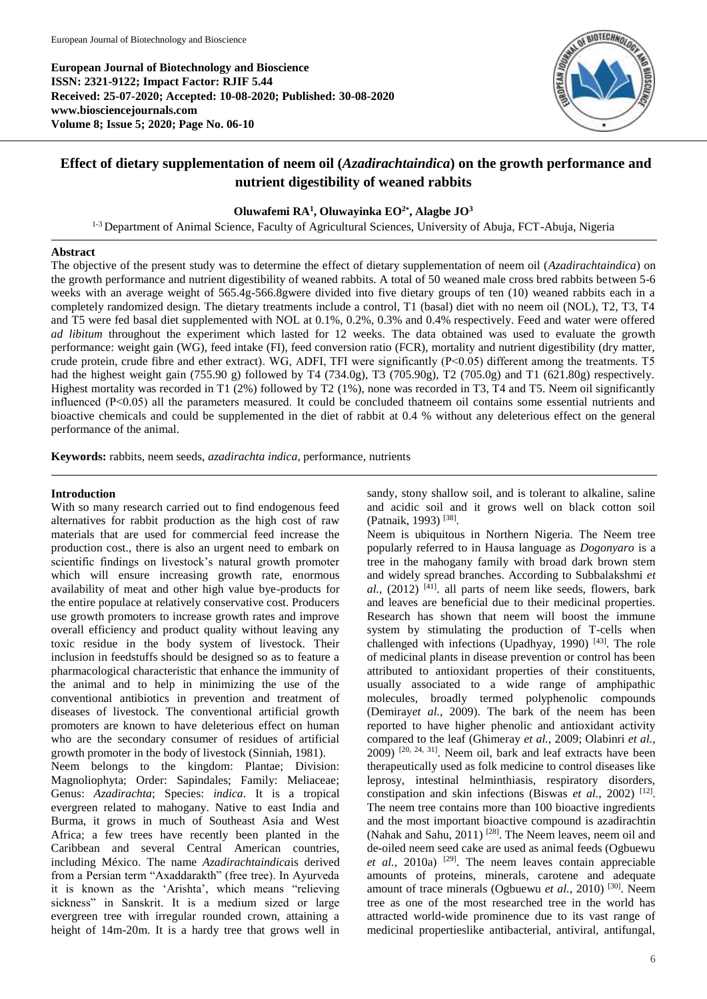**European Journal of Biotechnology and Bioscience ISSN: 2321-9122; Impact Factor: RJIF 5.44 Received: 25-07-2020; Accepted: 10-08-2020; Published: 30-08-2020 www.biosciencejournals.com Volume 8; Issue 5; 2020; Page No. 06-10**



# **Effect of dietary supplementation of neem oil (***Azadirachtaindica***) on the growth performance and nutrient digestibility of weaned rabbits**

# **Oluwafemi RA<sup>1</sup> , Oluwayinka EO<sup>2</sup>\* , Alagbe JO<sup>3</sup>**

<sup>1-3</sup> Department of Animal Science, Faculty of Agricultural Sciences, University of Abuja, FCT-Abuja, Nigeria

#### **Abstract**

The objective of the present study was to determine the effect of dietary supplementation of neem oil (*Azadirachtaindica*) on the growth performance and nutrient digestibility of weaned rabbits. A total of 50 weaned male cross bred rabbits between 5-6 weeks with an average weight of 565.4g-566.8gwere divided into five dietary groups of ten (10) weaned rabbits each in a completely randomized design. The dietary treatments include a control, T1 (basal) diet with no neem oil (NOL), T2, T3, T4 and T5 were fed basal diet supplemented with NOL at 0.1%, 0.2%, 0.3% and 0.4% respectively. Feed and water were offered *ad libitum* throughout the experiment which lasted for 12 weeks. The data obtained was used to evaluate the growth performance: weight gain (WG), feed intake (FI), feed conversion ratio (FCR), mortality and nutrient digestibility (dry matter, crude protein, crude fibre and ether extract). WG, ADFI, TFI were significantly (P˂0.05) different among the treatments. T5 had the highest weight gain (755.90 g) followed by T4 (734.0g), T3 (705.90g), T2 (705.0g) and T1 (621.80g) respectively. Highest mortality was recorded in T1 (2%) followed by T2 (1%), none was recorded in T3, T4 and T5. Neem oil significantly influenced (P˂0.05) all the parameters measured. It could be concluded thatneem oil contains some essential nutrients and bioactive chemicals and could be supplemented in the diet of rabbit at 0.4 % without any deleterious effect on the general performance of the animal.

**Keywords:** rabbits, neem seeds, *azadirachta indica*, performance, nutrients

## **Introduction**

With so many research carried out to find endogenous feed alternatives for rabbit production as the high cost of raw materials that are used for commercial feed increase the production cost., there is also an urgent need to embark on scientific findings on livestock's natural growth promoter which will ensure increasing growth rate, enormous availability of meat and other high value bye-products for the entire populace at relatively conservative cost. Producers use growth promoters to increase growth rates and improve overall efficiency and product quality without leaving any toxic residue in the body system of livestock. Their inclusion in feedstuffs should be designed so as to feature a pharmacological characteristic that enhance the immunity of the animal and to help in minimizing the use of the conventional antibiotics in prevention and treatment of diseases of livestock. The conventional artificial growth promoters are known to have deleterious effect on human who are the secondary consumer of residues of artificial growth promoter in the body of livestock (Sinniah, 1981). Neem belongs to the kingdom: Plantae; Division: Magnoliophyta; Order: Sapindales; Family: Meliaceae; Genus: *Azadirachta*; Species: *indica*. It is a tropical

evergreen related to mahogany. Native to east India and Burma, it grows in much of Southeast Asia and West Africa; a few trees have recently been planted in the Caribbean and several Central American countries, including México. The name *Azadirachtaindica*is derived from a Persian term "Axaddarakth" (free tree). In Ayurveda it is known as the 'Arishta', which means "relieving sickness" in Sanskrit. It is a medium sized or large evergreen tree with irregular rounded crown, attaining a height of 14m-20m. It is a hardy tree that grows well in sandy, stony shallow soil, and is tolerant to alkaline, saline and acidic soil and it grows well on black cotton soil (Patnaik, 1993)<sup>[38]</sup>.

Neem is ubiquitous in Northern Nigeria. The Neem tree popularly referred to in Hausa language as *Dogonyaro* is a tree in the mahogany family with broad dark brown stem and widely spread branches. According to Subbalakshmi *et*  al., (2012)<sup>[41]</sup>. all parts of neem like seeds, flowers, bark and leaves are beneficial due to their medicinal properties. Research has shown that neem will boost the immune system by stimulating the production of T-cells when challenged with infections (Upadhyay, 1990) [43]. The role of medicinal plants in disease prevention or control has been attributed to antioxidant properties of their constituents, usually associated to a wide range of amphipathic molecules, broadly termed polyphenolic compounds (Demiray*et al.*, 2009). The bark of the neem has been reported to have higher phenolic and antioxidant activity compared to the leaf (Ghimeray *et al.*, 2009; Olabinri *et al.*, 2009) [20, 24, 31] . Neem oil, bark and leaf extracts have been therapeutically used as folk medicine to control diseases like leprosy, intestinal helminthiasis, respiratory disorders, constipation and skin infections (Biswas et al., 2002)<sup>[12]</sup>. The neem tree contains more than 100 bioactive ingredients and the most important bioactive compound is azadirachtin (Nahak and Sahu, 2011) [28]. The Neem leaves, neem oil and de-oiled neem seed cake are used as animal feeds (Ogbuewu *et al.*, 2010a) <sup>[29]</sup>. The neem leaves contain appreciable amounts of proteins, minerals, carotene and adequate amount of trace minerals (Ogbuewu *et al.*, 2010) <sup>[30]</sup>. Neem tree as one of the most researched tree in the world has attracted world-wide prominence due to its vast range of medicinal propertieslike antibacterial, antiviral, antifungal,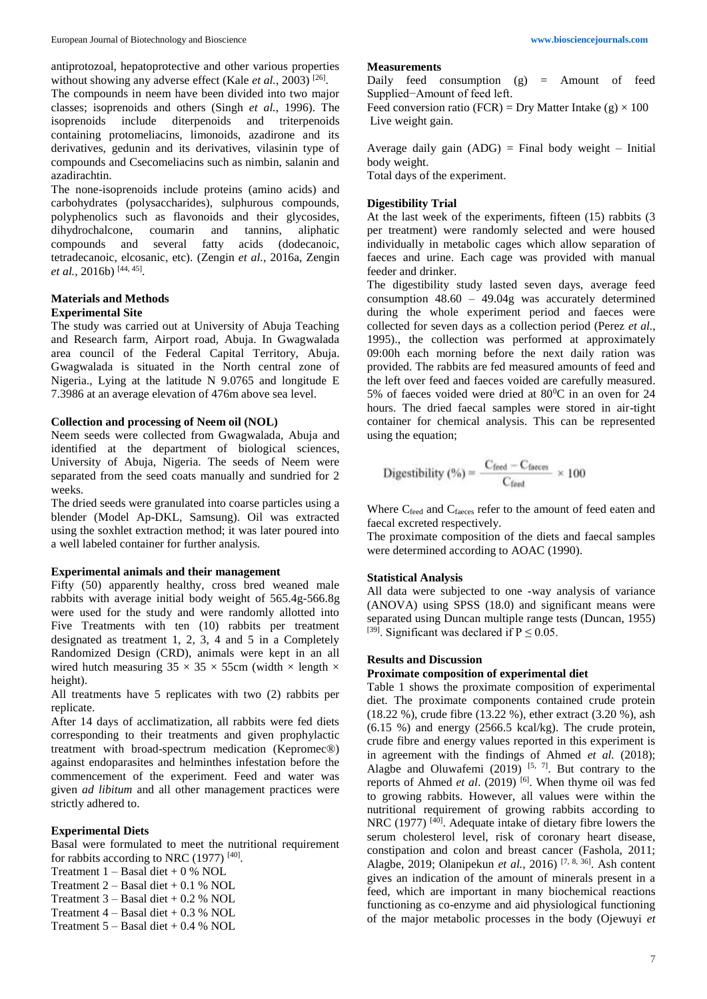antiprotozoal, hepatoprotective and other various properties without showing any adverse effect (Kale *et al.*, 2003)<sup>[26]</sup>.

The compounds in neem have been divided into two major classes; isoprenoids and others (Singh *et al.*, 1996). The isoprenoids include diterpenoids and triterpenoids containing protomeliacins, limonoids, azadirone and its derivatives, gedunin and its derivatives, vilasinin type of compounds and Csecomeliacins such as nimbin, salanin and azadirachtin.

The none-isoprenoids include proteins (amino acids) and carbohydrates (polysaccharides), sulphurous compounds, polyphenolics such as flavonoids and their glycosides, dihydrochalcone, coumarin and tannins, aliphatic compounds and several fatty acids (dodecanoic, tetradecanoic, elcosanic, etc). (Zengin *et al.,* 2016a, Zengin *et al.,* 2016b) [44, 45] .

## **Materials and Methods Experimental Site**

The study was carried out at University of Abuja Teaching and Research farm, Airport road, Abuja. In Gwagwalada area council of the Federal Capital Territory, Abuja. Gwagwalada is situated in the North central zone of Nigeria., Lying at the latitude N 9.0765 and longitude E 7.3986 at an average elevation of 476m above sea level.

## **Collection and processing of Neem oil (NOL)**

Neem seeds were collected from Gwagwalada, Abuja and identified at the department of biological sciences, University of Abuja, Nigeria. The seeds of Neem were separated from the seed coats manually and sundried for 2 weeks.

The dried seeds were granulated into coarse particles using a blender (Model Ap-DKL, Samsung). Oil was extracted using the soxhlet extraction method; it was later poured into a well labeled container for further analysis.

#### **Experimental animals and their management**

Fifty (50) apparently healthy, cross bred weaned male rabbits with average initial body weight of 565.4g-566.8g were used for the study and were randomly allotted into Five Treatments with ten (10) rabbits per treatment designated as treatment 1, 2, 3, 4 and 5 in a Completely Randomized Design (CRD), animals were kept in an all wired hutch measuring  $35 \times 35 \times 55$ cm (width  $\times$  length  $\times$ height).

All treatments have 5 replicates with two (2) rabbits per replicate.

After 14 days of acclimatization, all rabbits were fed diets corresponding to their treatments and given prophylactic treatment with broad-spectrum medication (Kepromec®) against endoparasites and helminthes infestation before the commencement of the experiment. Feed and water was given *ad libitum* and all other management practices were strictly adhered to.

#### **Experimental Diets**

Basal were formulated to meet the nutritional requirement for rabbits according to NRC  $(1977)$ <sup>[40]</sup>.

- Treatment 1 Basal diet + 0 % NOL
- Treatment  $2 Basal diet + 0.1 % NOL$
- Treatment  $3 -$ Basal diet  $+ 0.2$  % NOL
- Treatment  $4 Basal diet + 0.3 % NOL$
- Treatment  $5 -$ Basal diet  $+ 0.4$  % NOL

#### **Measurements**

Daily feed consumption (g) = Amount of feed Supplied−Amount of feed left. Feed conversion ratio (FCR) = Dry Matter Intake (g)  $\times$  100

Live weight gain.

Average daily gain  $(ADG)$  = Final body weight – Initial body weight.

Total days of the experiment.

## **Digestibility Trial**

At the last week of the experiments, fifteen (15) rabbits (3 per treatment) were randomly selected and were housed individually in metabolic cages which allow separation of faeces and urine. Each cage was provided with manual feeder and drinker.

The digestibility study lasted seven days, average feed consumption 48.60 – 49.04g was accurately determined during the whole experiment period and faeces were collected for seven days as a collection period (Perez *et al.*, 1995)., the collection was performed at approximately 09:00h each morning before the next daily ration was provided. The rabbits are fed measured amounts of feed and the left over feed and faeces voided are carefully measured. 5% of faeces voided were dried at  $80^{\circ}$ C in an oven for 24 hours. The dried faecal samples were stored in air-tight container for chemical analysis. This can be represented using the equation;

$$
\text{Digestibility } (\%) = \frac{C_{\text{feed}} - C_{\text{faces}}}{C_{\text{feed}}} \times 100
$$

Where C<sub>feed</sub> and C<sub>faeces</sub> refer to the amount of feed eaten and faecal excreted respectively.

The proximate composition of the diets and faecal samples were determined according to AOAC (1990).

#### **Statistical Analysis**

All data were subjected to one -way analysis of variance (ANOVA) using SPSS (18.0) and significant means were separated using Duncan multiple range tests (Duncan, 1955) [39]. Significant was declared if  $P \le 0.05$ .

#### **Results and Discussion**

## **Proximate composition of experimental diet**

Table 1 shows the proximate composition of experimental diet. The proximate components contained crude protein (18.22 %), crude fibre (13.22 %), ether extract (3.20 %), ash (6.15 %) and energy (2566.5 kcal/kg). The crude protein, crude fibre and energy values reported in this experiment is in agreement with the findings of Ahmed *et al.* (2018); Alagbe and Oluwafemi  $(2019)$  <sup>[5, 7]</sup>. But contrary to the reports of Ahmed *et al.* (2019)<sup>[6]</sup>. When thyme oil was fed to growing rabbits. However, all values were within the nutritional requirement of growing rabbits according to NRC (1977)  $[40]$ . Adequate intake of dietary fibre lowers the serum cholesterol level, risk of coronary heart disease, constipation and colon and breast cancer (Fashola, 2011; Alagbe, 2019; Olanipekun *et al.,* 2016) [7, 8, 36]. Ash content gives an indication of the amount of minerals present in a feed, which are important in many biochemical reactions functioning as co-enzyme and aid physiological functioning of the major metabolic processes in the body (Ojewuyi *et*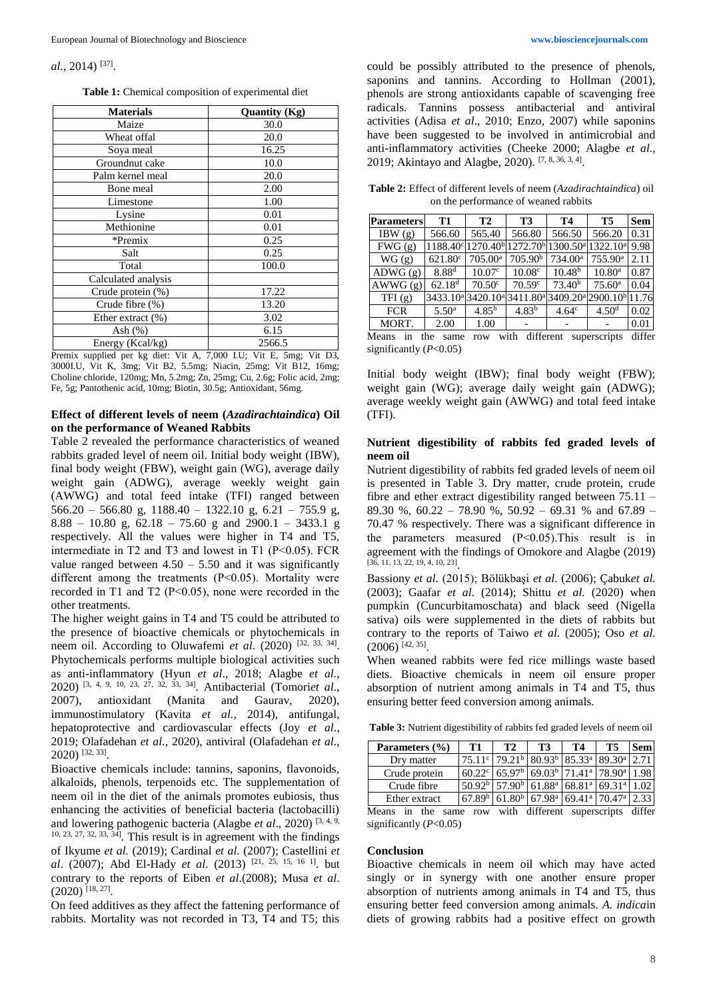*al.*, 2014) [37] .

**Table 1:** Chemical composition of experimental diet

| <b>Materials</b>                              | Quantity (Kg)                                 |  |  |  |  |
|-----------------------------------------------|-----------------------------------------------|--|--|--|--|
| Maize                                         | 30.0                                          |  |  |  |  |
| Wheat offal                                   | 20.0                                          |  |  |  |  |
| Soya meal                                     | 16.25                                         |  |  |  |  |
| Groundnut cake                                | 10.0                                          |  |  |  |  |
| Palm kernel meal                              | 20.0                                          |  |  |  |  |
| Bone meal                                     | 2.00                                          |  |  |  |  |
| Limestone                                     | 1.00                                          |  |  |  |  |
| Lysine                                        | 0.01                                          |  |  |  |  |
| Methionine                                    | 0.01                                          |  |  |  |  |
| *Premix                                       | 0.25                                          |  |  |  |  |
| Salt                                          | 0.25                                          |  |  |  |  |
| Total                                         | 100.0                                         |  |  |  |  |
| Calculated analysis                           |                                               |  |  |  |  |
| Crude protein (%)                             | 17.22                                         |  |  |  |  |
| Crude fibre (%)                               | 13.20                                         |  |  |  |  |
| Ether extract (%)                             | 3.02                                          |  |  |  |  |
| Ash $(\%)$                                    | 6.15                                          |  |  |  |  |
| Energy (Kcal/kg)                              | 2566.5                                        |  |  |  |  |
| $D$ ramiy supplied par ko diet: Vit $\Lambda$ | $7.000$ III. Vit E $5$ ma: Vit D <sub>3</sub> |  |  |  |  |

Premix supplied per kg diet: Vit A, 7,000 I.U; Vit E, 5mg; Vit D3, 3000I.U, Vit K, 3mg; Vit B2, 5.5mg; Niacin, 25mg; Vit B12, 16mg; Choline chloride, 120mg; Mn, 5.2mg; Zn, 25mg; Cu, 2.6g; Folic acid, 2mg; Fe, 5g; Pantothenic acid, 10mg; Biotin, 30.5g; Antioxidant, 56mg.

## **Effect of different levels of neem (***Azadirachtaindica***) Oil on the performance of Weaned Rabbits**

Table 2 revealed the performance characteristics of weaned rabbits graded level of neem oil. Initial body weight (IBW), final body weight (FBW), weight gain (WG), average daily weight gain (ADWG), average weekly weight gain (AWWG) and total feed intake (TFI) ranged between  $566.20 - 566.80$  g,  $1188.40 - 1322.10$  g,  $6.21 - 755.9$  g, 8.88 – 10.80 g, 62.18 – 75.60 g and 2900.1 – 3433.1 g respectively. All the values were higher in T4 and T5, intermediate in T2 and T3 and lowest in T1 (P˂0.05). FCR value ranged between  $4.50 - 5.50$  and it was significantly different among the treatments (P˂0.05). Mortality were recorded in T1 and T2 (P˂0.05), none were recorded in the other treatments.

The higher weight gains in T4 and T5 could be attributed to the presence of bioactive chemicals or phytochemicals in neem oil. According to Oluwafemi *et al.* (2020) <sup>[32, 33, 34]</sup>. Phytochemicals performs multiple biological activities such as anti-inflammatory (Hyun *et al*., 2018; Alagbe *et al.,* 2020) [3, 4, 9, 10, 23, 27, 32, 33, 34] . Antibacterial (Tomori*et al*., 2007), antioxidant (Manita and Gaurav, 2020), immunostimulatory (Kavita *et al.,* 2014), antifungal, hepatoprotective and cardiovascular effects (Joy *et al*., 2019; Olafadehan *et al.,* 2020), antiviral (Olafadehan *et al*., 2020) [32, 33] .

Bioactive chemicals include: tannins, saponins, flavonoids, alkaloids, phenols, terpenoids etc. The supplementation of neem oil in the diet of the animals promotes eubiosis, thus enhancing the activities of beneficial bacteria (lactobacilli) and lowering pathogenic bacteria (Alagbe *et al*., 2020) [3, 4, 9, 10, 23, 27, 32, 33, 34] . This result is in agreement with the findings of Ikyume *et al.* (2019); Cardinal *et al.* (2007); Castellini *et al*. (2007); Abd El-Hady *et al*. (2013) [21, 25, 15, 16 1] . but contrary to the reports of Eiben *et al*.(2008); Musa *et al*.  $(2020)$ <sup>[18, 27]</sup>.

On feed additives as they affect the fattening performance of rabbits. Mortality was not recorded in T3, T4 and T5; this

could be possibly attributed to the presence of phenols, saponins and tannins. According to Hollman (2001), phenols are strong antioxidants capable of scavenging free radicals. Tannins possess antibacterial and antiviral activities (Adisa *et al*., 2010; Enzo, 2007) while saponins have been suggested to be involved in antimicrobial and anti-inflammatory activities (Cheeke 2000; Alagbe *et al*., 2019; Akintayo and Alagbe, 2020). <sup>[7, 8, 36, 3, 4]</sup>.

**Table 2:** Effect of different levels of neem (*Azadirachtaindica*) oil on the performance of weaned rabbits

| <b>Parameters</b>                                                                                            | T1                  | <b>T2</b>          | T3                                                                      | T4                  | T5                                                                                                             | <b>Sem</b> |  |  |
|--------------------------------------------------------------------------------------------------------------|---------------------|--------------------|-------------------------------------------------------------------------|---------------------|----------------------------------------------------------------------------------------------------------------|------------|--|--|
| IBW(g)                                                                                                       | 566.60              | 565.40             | 566.80                                                                  | 566.50              | 566.20                                                                                                         | 0.31       |  |  |
| FWG(g)                                                                                                       |                     |                    | 1188.40° 1270.40 <sup>b</sup> 1272.70 <sup>b</sup> 1300.50 <sup>a</sup> |                     | 1322.10 <sup>a</sup>                                                                                           | 9.98       |  |  |
| WG(g)                                                                                                        | $621.80^{\circ}$    | $705.00^{\rm a}$   | 705.90 <sup>b</sup>                                                     | 734.00 <sup>a</sup> | $755.90^{\rm a}$                                                                                               | 2.11       |  |  |
| ADWG(g)                                                                                                      | $8.88$ <sup>d</sup> | 10.07 <sup>c</sup> | 10.08 <sup>c</sup>                                                      | 10.48 <sup>b</sup>  | $10.80^{\rm a}$                                                                                                | 0.87       |  |  |
| AWWG(g)                                                                                                      | 62.18 <sup>d</sup>  | 70.50 <sup>c</sup> | 70.59c                                                                  | 73.40 <sup>b</sup>  | $75.60^{\rm a}$                                                                                                | 0.04       |  |  |
| TFI(g)                                                                                                       |                     |                    |                                                                         |                     | 3433.10 <sup>a</sup> 3420.10 <sup>a</sup> 3411.80 <sup>a</sup> 3409.20 <sup>a</sup> 2900.10 <sup>b</sup> 11.76 |            |  |  |
| <b>FCR</b>                                                                                                   | 5.50 <sup>a</sup>   | $4.85^{b}$         | 4.83 <sup>b</sup>                                                       | 4.64 <sup>c</sup>   | 4.50 <sup>d</sup>                                                                                              | 0.02       |  |  |
| MORT.                                                                                                        | 2.00                | 1.00               |                                                                         |                     |                                                                                                                | 0.01       |  |  |
| differ<br>different<br>with<br>Means<br>superscripts<br>the<br>row<br>in<br>same<br>significantly $(P<0.05)$ |                     |                    |                                                                         |                     |                                                                                                                |            |  |  |

Initial body weight (IBW); final body weight (FBW); weight gain (WG); average daily weight gain (ADWG); average weekly weight gain (AWWG) and total feed intake (TFI).

#### **Nutrient digestibility of rabbits fed graded levels of neem oil**

Nutrient digestibility of rabbits fed graded levels of neem oil is presented in Table 3. Dry matter, crude protein, crude fibre and ether extract digestibility ranged between 75.11 – 89.30 %, 60.22 – 78.90 %, 50.92 – 69.31 % and 67.89 – 70.47 % respectively. There was a significant difference in the parameters measured (P˂0.05).This result is in agreement with the findings of Omokore and Alagbe (2019) [36, 11, 13, 22, 19, 4, 10, 23] .

Bassiony *et al.* (2015); Bölükbaşi *et al*. (2006); Çabuk*et al.* (2003); Gaafar *et al*. (2014); Shittu *et al.* (2020) when pumpkin (Cuncurbitamoschata) and black seed (Nigella sativa) oils were supplemented in the diets of rabbits but contrary to the reports of Taiwo *et al.* (2005); Oso *et al*.  $(2006)$ <sup>[42, 35]</sup>.

When weaned rabbits were fed rice millings waste based diets. Bioactive chemicals in neem oil ensure proper absorption of nutrient among animals in T4 and T5, thus ensuring better feed conversion among animals.

**Table 3:** Nutrient digestibility of rabbits fed graded levels of neem oil

| Parameters $(\% )$                                                                | Т1                 | Т2                 | Т3                 | Т4                 | Т5                 | <b>Sem</b> |  |  |
|-----------------------------------------------------------------------------------|--------------------|--------------------|--------------------|--------------------|--------------------|------------|--|--|
| Dry matter                                                                        |                    | 79.21 <sup>b</sup> | 80.93 <sup>b</sup> | $85.33^{\circ}$    | 89.30 <sup>a</sup> |            |  |  |
| Crude protein                                                                     | $60.22^{\circ}$    | 65.97 <sup>b</sup> | 69.03 <sup>b</sup> | 71.41 <sup>a</sup> | 78.90 <sup>a</sup> |            |  |  |
| Crude fibre                                                                       | 50.92 <sup>b</sup> | 57.90 <sup>b</sup> | 61.88 <sup>a</sup> | 68.81 <sup>a</sup> | 69.31 <sup>a</sup> |            |  |  |
| Ether extract                                                                     | 67.89 <sup>b</sup> | 61.80 <sup>b</sup> | 67.98 <sup>a</sup> | $69.41^a$          | 70.47 <sup>a</sup> |            |  |  |
| different<br>Means<br>with<br>superserints<br>the<br>same<br>$r_{\Omega U}$<br>1n |                    |                    |                    |                    |                    |            |  |  |

me row with different superscripts differ significantly (*P*<0.05)

#### **Conclusion**

Bioactive chemicals in neem oil which may have acted singly or in synergy with one another ensure proper absorption of nutrients among animals in T4 and T5, thus ensuring better feed conversion among animals. *A. indica*in diets of growing rabbits had a positive effect on growth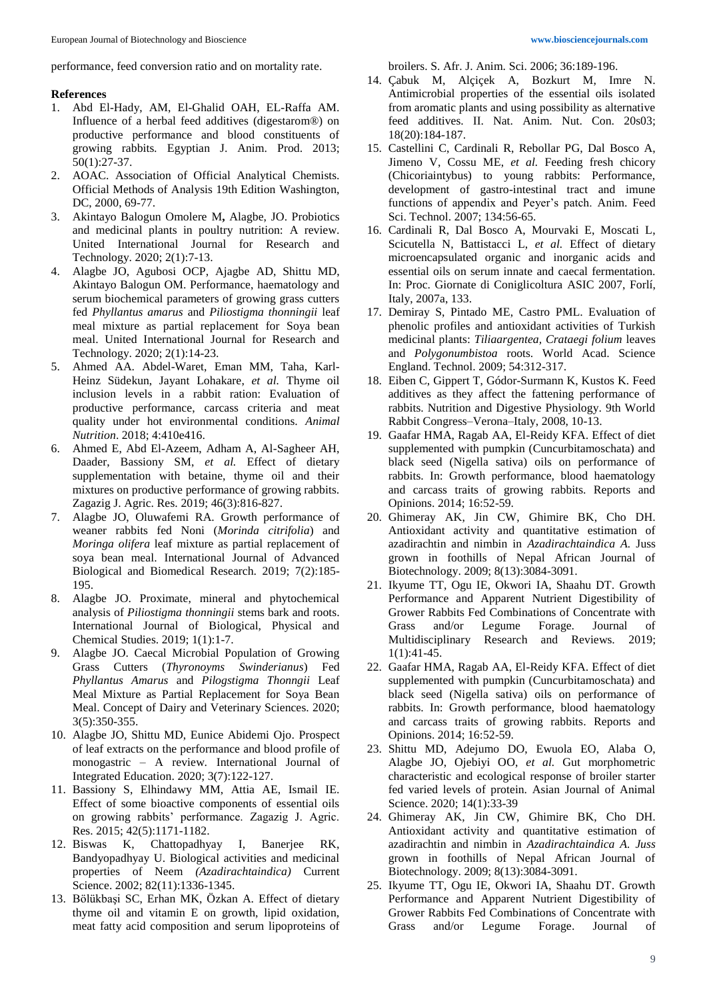performance, feed conversion ratio and on mortality rate.

## **References**

- 1. Abd El-Hady, AM, El-Ghalid OAH, EL-Raffa AM. Influence of a herbal feed additives (digestarom®) on productive performance and blood constituents of growing rabbits*.* Egyptian J. Anim. Prod. 2013; 50(1):27-37.
- 2. AOAC. Association of Official Analytical Chemists. Official Methods of Analysis 19th Edition Washington, DC, 2000, 69-77.
- 3. Akintayo Balogun Omolere M**,** Alagbe, JO. Probiotics and medicinal plants in poultry nutrition: A review. United International Journal for Research and Technology. 2020; 2(1):7-13.
- 4. Alagbe JO, Agubosi OCP, Ajagbe AD, Shittu MD, Akintayo Balogun OM. Performance, haematology and serum biochemical parameters of growing grass cutters fed *Phyllantus amarus* and *Piliostigma thonningii* leaf meal mixture as partial replacement for Soya bean meal. United International Journal for Research and Technology. 2020; 2(1):14-23.
- 5. Ahmed AA. Abdel-Waret, Eman MM, Taha, Karl-Heinz Südekun, Jayant Lohakare, *et al.* Thyme oil inclusion levels in a rabbit ration: Evaluation of productive performance, carcass criteria and meat quality under hot environmental conditions. *Animal Nutrition*. 2018; 4:410e416.
- 6. Ahmed E, Abd El-Azeem, Adham A, Al-Sagheer AH, Daader, Bassiony SM, *et al.* Effect of dietary supplementation with betaine, thyme oil and their mixtures on productive performance of growing rabbits. Zagazig J. Agric. Res. 2019; 46(3):816-827.
- 7. Alagbe JO, Oluwafemi RA. Growth performance of weaner rabbits fed Noni (*Morinda citrifolia*) and *Moringa olifera* leaf mixture as partial replacement of soya bean meal. International Journal of Advanced Biological and Biomedical Research. 2019; 7(2):185- 195.
- 8. Alagbe JO. Proximate, mineral and phytochemical analysis of *Piliostigma thonningii* stems bark and roots. International Journal of Biological, Physical and Chemical Studies. 2019; 1(1):1-7.
- 9. Alagbe JO. Caecal Microbial Population of Growing Grass Cutters (*Thyronoyms Swinderianus*) Fed *Phyllantus Amarus* and *Pilogstigma Thonngii* Leaf Meal Mixture as Partial Replacement for Soya Bean Meal. Concept of Dairy and Veterinary Sciences. 2020; 3(5):350-355.
- 10. Alagbe JO, Shittu MD, Eunice Abidemi Ojo. Prospect of leaf extracts on the performance and blood profile of monogastric – A review. International Journal of Integrated Education. 2020; 3(7):122-127.
- 11. Bassiony S, Elhindawy MM, Attia AE, Ismail IE. Effect of some bioactive components of essential oils on growing rabbits' performance. Zagazig J. Agric. Res. 2015; 42(5):1171-1182.
- 12. Biswas K, Chattopadhyay I, Banerjee RK, Bandyopadhyay U. Biological activities and medicinal properties of Neem *(Azadirachtaindica)* Current Science. 2002; 82(11):1336-1345.
- 13. Bölükbaşi SC, Erhan MK, Özkan A. Effect of dietary thyme oil and vitamin E on growth, lipid oxidation, meat fatty acid composition and serum lipoproteins of

broilers. S. Afr. J. Anim. Sci. 2006; 36:189-196.

- 14. Çabuk M, Alçiçek A, Bozkurt M, Imre N. Antimicrobial properties of the essential oils isolated from aromatic plants and using possibility as alternative feed additives. II. Nat. Anim. Nut. Con. 20s03; 18(20):184-187.
- 15. Castellini C, Cardinali R, Rebollar PG, Dal Bosco A, Jimeno V, Cossu ME, *et al.* Feeding fresh chicory (Chicoriaintybus) to young rabbits: Performance, development of gastro-intestinal tract and imune functions of appendix and Peyer's patch. Anim. Feed Sci. Technol. 2007; 134:56-65.
- 16. Cardinali R, Dal Bosco A, Mourvaki E, Moscati L, Scicutella N, Battistacci L, *et al.* Effect of dietary microencapsulated organic and inorganic acids and essential oils on serum innate and caecal fermentation. In: Proc. Giornate di Coniglicoltura ASIC 2007, Forlí, Italy, 2007a, 133.
- 17. Demiray S, Pintado ME, Castro PML. Evaluation of phenolic profiles and antioxidant activities of Turkish medicinal plants: *Tiliaargentea, Crataegi folium* leaves and *Polygonumbistoa* roots. World Acad. Science England. Technol. 2009; 54:312-317.
- 18. Eiben C, Gippert T, Gódor-Surmann K, Kustos K. Feed additives as they affect the fattening performance of rabbits. Nutrition and Digestive Physiology. 9th World Rabbit Congress–Verona–Italy, 2008, 10-13.
- 19. Gaafar HMA, Ragab AA, El-Reidy KFA. Effect of diet supplemented with pumpkin (Cuncurbitamoschata) and black seed (Nigella sativa) oils on performance of rabbits. In: Growth performance, blood haematology and carcass traits of growing rabbits. Reports and Opinions. 2014; 16:52-59.
- 20. Ghimeray AK, Jin CW, Ghimire BK, Cho DH. Antioxidant activity and quantitative estimation of azadirachtin and nimbin in *Azadirachtaindica A.* Juss grown in foothills of Nepal African Journal of Biotechnology. 2009; 8(13):3084-3091.
- 21. Ikyume TT, Ogu IE, Okwori IA, Shaahu DT. Growth Performance and Apparent Nutrient Digestibility of Grower Rabbits Fed Combinations of Concentrate with Grass and/or Legume Forage. Journal of Multidisciplinary Research and Reviews. 2019; 1(1):41-45.
- 22. Gaafar HMA, Ragab AA, El-Reidy KFA. Effect of diet supplemented with pumpkin (Cuncurbitamoschata) and black seed (Nigella sativa) oils on performance of rabbits. In: Growth performance, blood haematology and carcass traits of growing rabbits. Reports and Opinions. 2014; 16:52-59.
- 23. Shittu MD, Adejumo DO, Ewuola EO, Alaba O, Alagbe JO, Ojebiyi OO, *et al.* Gut morphometric characteristic and ecological response of broiler starter fed varied levels of protein. Asian Journal of Animal Science. 2020; 14(1):33-39
- 24. Ghimeray AK, Jin CW, Ghimire BK, Cho DH. Antioxidant activity and quantitative estimation of azadirachtin and nimbin in *Azadirachtaindica A. Juss* grown in foothills of Nepal African Journal of Biotechnology. 2009; 8(13):3084-3091.
- 25. Ikyume TT, Ogu IE, Okwori IA, Shaahu DT. Growth Performance and Apparent Nutrient Digestibility of Grower Rabbits Fed Combinations of Concentrate with Grass and/or Legume Forage. Journal of